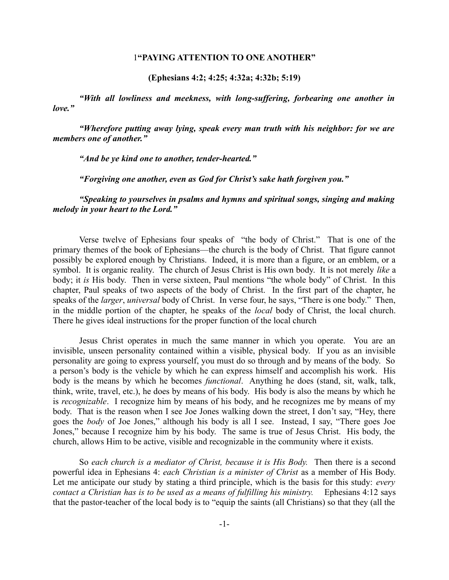# 1**"PAYING ATTENTION TO ONE ANOTHER"**

**(Ephesians 4:2; 4:25; 4:32a; 4:32b; 5:19)**

*"With all lowliness and meekness, with long-suffering, forbearing one another in love."*

*"Wherefore putting away lying, speak every man truth with his neighbor: for we are members one of another."*

*"And be ye kind one to another, tender-hearted."*

*"Forgiving one another, even as God for Christ's sake hath forgiven you."*

*"Speaking to yourselves in psalms and hymns and spiritual songs, singing and making melody in your heart to the Lord."*

Verse twelve of Ephesians four speaks of "the body of Christ." That is one of the primary themes of the book of Ephesians—the church is the body of Christ. That figure cannot possibly be explored enough by Christians. Indeed, it is more than a figure, or an emblem, or a symbol. It is organic reality. The church of Jesus Christ is His own body. It is not merely *like* a body; it *is* His body. Then in verse sixteen, Paul mentions "the whole body" of Christ. In this chapter, Paul speaks of two aspects of the body of Christ. In the first part of the chapter, he speaks of the *larger*, *universal* body of Christ. In verse four, he says, "There is one body." Then, in the middle portion of the chapter, he speaks of the *local* body of Christ, the local church. There he gives ideal instructions for the proper function of the local church

Jesus Christ operates in much the same manner in which you operate. You are an invisible, unseen personality contained within a visible, physical body. If you as an invisible personality are going to express yourself, you must do so through and by means of the body. So a person's body is the vehicle by which he can express himself and accomplish his work. His body is the means by which he becomes *functional*. Anything he does (stand, sit, walk, talk, think, write, travel, etc.), he does by means of his body. His body is also the means by which he is *recognizable*. I recognize him by means of his body, and he recognizes me by means of my body. That is the reason when I see Joe Jones walking down the street, I don't say, "Hey, there goes the *body* of Joe Jones," although his body is all I see. Instead, I say, "There goes Joe Jones," because I recognize him by his body. The same is true of Jesus Christ. His body, the church, allows Him to be active, visible and recognizable in the community where it exists.

So *each church is a mediator of Christ, because it is His Body.* Then there is a second powerful idea in Ephesians 4: *each Christian is a minister of Christ* as a member of His Body. Let me anticipate our study by stating a third principle, which is the basis for this study: *every contact a Christian has is to be used as a means of fulfilling his ministry.* Ephesians 4:12 says that the pastor-teacher of the local body is to "equip the saints (all Christians) so that they (all the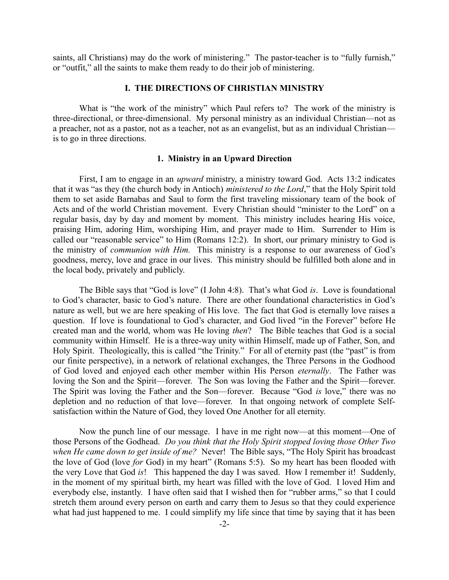saints, all Christians) may do the work of ministering." The pastor-teacher is to "fully furnish," or "outfit," all the saints to make them ready to do their job of ministering.

## **I. THE DIRECTIONS OF CHRISTIAN MINISTRY**

What is "the work of the ministry" which Paul refers to? The work of the ministry is three-directional, or three-dimensional. My personal ministry as an individual Christian—not as a preacher, not as a pastor, not as a teacher, not as an evangelist, but as an individual Christian is to go in three directions.

## **1. Ministry in an Upward Direction**

First, I am to engage in an *upward* ministry, a ministry toward God. Acts 13:2 indicates that it was "as they (the church body in Antioch) *ministered to the Lord*," that the Holy Spirit told them to set aside Barnabas and Saul to form the first traveling missionary team of the book of Acts and of the world Christian movement. Every Christian should "minister to the Lord" on a regular basis, day by day and moment by moment. This ministry includes hearing His voice, praising Him, adoring Him, worshiping Him, and prayer made to Him. Surrender to Him is called our "reasonable service" to Him (Romans 12:2). In short, our primary ministry to God is the ministry of *communion with Him.* This ministry is a response to our awareness of God's goodness, mercy, love and grace in our lives. This ministry should be fulfilled both alone and in the local body, privately and publicly.

The Bible says that "God is love" (I John 4:8). That's what God *is*. Love is foundational to God's character, basic to God's nature. There are other foundational characteristics in God's nature as well, but we are here speaking of His love. The fact that God is eternally love raises a question. If love is foundational to God's character, and God lived "in the Forever" before He created man and the world, whom was He loving *then*? The Bible teaches that God is a social community within Himself. He is a three-way unity within Himself, made up of Father, Son, and Holy Spirit. Theologically, this is called "the Trinity." For all of eternity past (the "past" is from our finite perspective), in a network of relational exchanges, the Three Persons in the Godhood of God loved and enjoyed each other member within His Person *eternally*. The Father was loving the Son and the Spirit—forever. The Son was loving the Father and the Spirit—forever. The Spirit was loving the Father and the Son—forever. Because "God *is* love," there was no depletion and no reduction of that love—forever. In that ongoing network of complete Selfsatisfaction within the Nature of God, they loved One Another for all eternity.

Now the punch line of our message. I have in me right now—at this moment—One of those Persons of the Godhead. *Do you think that the Holy Spirit stopped loving those Other Two when He came down to get inside of me?* Never! The Bible says, "The Holy Spirit has broadcast the love of God (love *for* God) in my heart" (Romans 5:5). So my heart has been flooded with the very Love that God *is*! This happened the day I was saved. How I remember it! Suddenly, in the moment of my spiritual birth, my heart was filled with the love of God. I loved Him and everybody else, instantly. I have often said that I wished then for "rubber arms," so that I could stretch them around every person on earth and carry them to Jesus so that they could experience what had just happened to me. I could simplify my life since that time by saying that it has been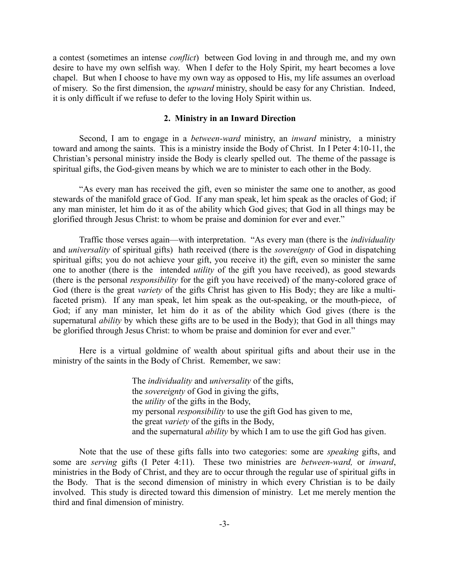a contest (sometimes an intense *conflict*) between God loving in and through me, and my own desire to have my own selfish way. When I defer to the Holy Spirit, my heart becomes a love chapel. But when I choose to have my own way as opposed to His, my life assumes an overload of misery. So the first dimension, the *upward* ministry, should be easy for any Christian. Indeed, it is only difficult if we refuse to defer to the loving Holy Spirit within us.

## **2. Ministry in an Inward Direction**

Second, I am to engage in a *between-ward* ministry, an *inward* ministry, a ministry toward and among the saints. This is a ministry inside the Body of Christ. In I Peter 4:10-11, the Christian's personal ministry inside the Body is clearly spelled out. The theme of the passage is spiritual gifts, the God-given means by which we are to minister to each other in the Body.

"As every man has received the gift, even so minister the same one to another, as good stewards of the manifold grace of God. If any man speak, let him speak as the oracles of God; if any man minister, let him do it as of the ability which God gives; that God in all things may be glorified through Jesus Christ: to whom be praise and dominion for ever and ever."

Traffic those verses again—with interpretation. "As every man (there is the *individuality* and *universality* of spiritual gifts) hath received (there is the *sovereignty* of God in dispatching spiritual gifts; you do not achieve your gift, you receive it) the gift, even so minister the same one to another (there is the intended *utility* of the gift you have received), as good stewards (there is the personal *responsibility* for the gift you have received) of the many-colored grace of God (there is the great *variety* of the gifts Christ has given to His Body; they are like a multifaceted prism). If any man speak, let him speak as the out-speaking, or the mouth-piece, of God; if any man minister, let him do it as of the ability which God gives (there is the supernatural *ability* by which these gifts are to be used in the Body); that God in all things may be glorified through Jesus Christ: to whom be praise and dominion for ever and ever."

Here is a virtual goldmine of wealth about spiritual gifts and about their use in the ministry of the saints in the Body of Christ. Remember, we saw:

> The *individuality* and *universality* of the gifts, the *sovereignty* of God in giving the gifts, the *utility* of the gifts in the Body, my personal *responsibility* to use the gift God has given to me, the great *variety* of the gifts in the Body, and the supernatural *ability* by which I am to use the gift God has given.

Note that the use of these gifts falls into two categories: some are *speaking* gifts, and some are *serving* gifts (I Peter 4:11). These two ministries are *between-ward,* or *inward*, ministries in the Body of Christ, and they are to occur through the regular use of spiritual gifts in the Body. That is the second dimension of ministry in which every Christian is to be daily involved. This study is directed toward this dimension of ministry. Let me merely mention the third and final dimension of ministry.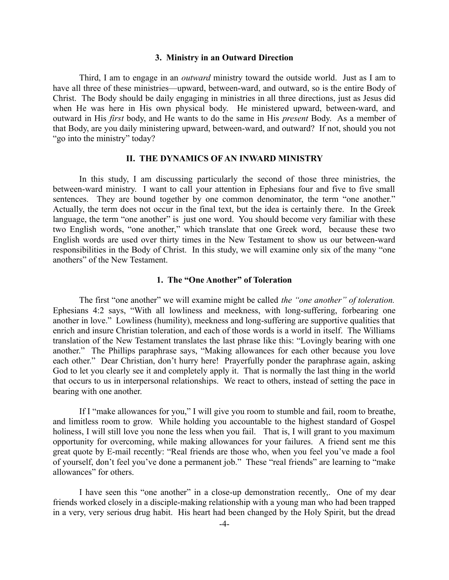## **3. Ministry in an Outward Direction**

Third, I am to engage in an *outward* ministry toward the outside world. Just as I am to have all three of these ministries—upward, between-ward, and outward, so is the entire Body of Christ. The Body should be daily engaging in ministries in all three directions, just as Jesus did when He was here in His own physical body. He ministered upward, between-ward, and outward in His *first* body, and He wants to do the same in His *present* Body. As a member of that Body, are you daily ministering upward, between-ward, and outward? If not, should you not "go into the ministry" today?

## **II. THE DYNAMICS OF AN INWARD MINISTRY**

In this study, I am discussing particularly the second of those three ministries, the between-ward ministry. I want to call your attention in Ephesians four and five to five small sentences. They are bound together by one common denominator, the term "one another." Actually, the term does not occur in the final text, but the idea is certainly there. In the Greek language, the term "one another" is just one word. You should become very familiar with these two English words, "one another," which translate that one Greek word, because these two English words are used over thirty times in the New Testament to show us our between-ward responsibilities in the Body of Christ. In this study, we will examine only six of the many "one anothers" of the New Testament.

## **1. The "One Another" of Toleration**

The first "one another" we will examine might be called *the "one another" of toleration.* Ephesians 4:2 says, "With all lowliness and meekness, with long-suffering, forbearing one another in love." Lowliness (humility), meekness and long-suffering are supportive qualities that enrich and insure Christian toleration, and each of those words is a world in itself. The Williams translation of the New Testament translates the last phrase like this: "Lovingly bearing with one another." The Phillips paraphrase says, "Making allowances for each other because you love each other." Dear Christian, don't hurry here! Prayerfully ponder the paraphrase again, asking God to let you clearly see it and completely apply it. That is normally the last thing in the world that occurs to us in interpersonal relationships. We react to others, instead of setting the pace in bearing with one another.

If I "make allowances for you," I will give you room to stumble and fail, room to breathe, and limitless room to grow. While holding you accountable to the highest standard of Gospel holiness, I will still love you none the less when you fail. That is, I will grant to you maximum opportunity for overcoming, while making allowances for your failures. A friend sent me this great quote by E-mail recently: "Real friends are those who, when you feel you've made a fool of yourself, don't feel you've done a permanent job." These "real friends" are learning to "make allowances" for others.

I have seen this "one another" in a close-up demonstration recently,. One of my dear friends worked closely in a disciple-making relationship with a young man who had been trapped in a very, very serious drug habit. His heart had been changed by the Holy Spirit, but the dread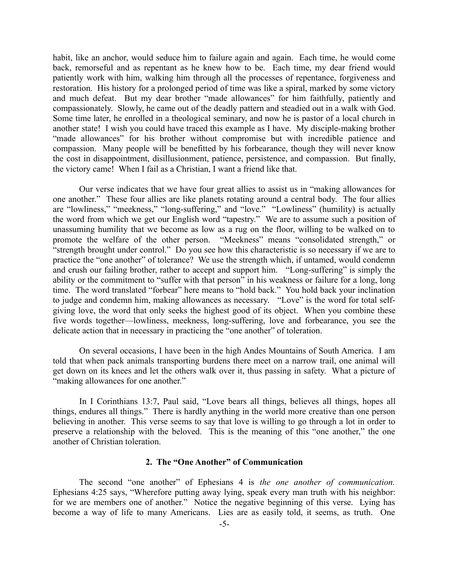habit, like an anchor, would seduce him to failure again and again. Each time, he would come back, remorseful and as repentant as he knew how to be. Each time, my dear friend would patiently work with him, walking him through all the processes of repentance, forgiveness and restoration. His history for a prolonged period of time was like a spiral, marked by some victory and much defeat. But my dear brother "made allowances" for him faithfully, patiently and compassionately. Slowly, he came out of the deadly pattern and steadied out in a walk with God. Some time later, he enrolled in a theological seminary, and now he is pastor of a local church in another state! I wish you could have traced this example as I have. My disciple-making brother "made allowances" for his brother without compromise but with incredible patience and compassion. Many people will be benefitted by his forbearance, though they will never know the cost in disappointment, disillusionment, patience, persistence, and compassion. But finally, the victory came! When I fail as a Christian, I want a friend like that.

Our verse indicates that we have four great allies to assist us in "making allowances for one another." These four allies are like planets rotating around a central body. The four allies are "lowliness," "meekness," "long-suffering," and "love." "Lowliness" (humility) is actually the word from which we get our English word "tapestry." We are to assume such a position of unassuming humility that we become as low as a rug on the floor, willing to be walked on to promote the welfare of the other person. "Meekness" means "consolidated strength," or "strength brought under control." Do you see how this characteristic is so necessary if we are to practice the "one another" of tolerance? We use the strength which, if untamed, would condemn and crush our failing brother, rather to accept and support him. "Long-suffering" is simply the ability or the commitment to "suffer with that person" in his weakness or failure for a long, long time. The word translated "forbear" here means to "hold back." You hold back your inclination to judge and condemn him, making allowances as necessary. "Love" is the word for total selfgiving love, the word that only seeks the highest good of its object. When you combine these five words together—lowliness, meekness, long-suffering, love and forbearance, you see the delicate action that in necessary in practicing the "one another" of toleration.

On several occasions, I have been in the high Andes Mountains of South America. I am told that when pack animals transporting burdens there meet on a narrow trail, one animal will get down on its knees and let the others walk over it, thus passing in safety. What a picture of "making allowances for one another."

In I Corinthians 13:7, Paul said, "Love bears all things, believes all things, hopes all things, endures all things." There is hardly anything in the world more creative than one person believing in another. This verse seems to say that love is willing to go through a lot in order to preserve a relationship with the beloved. This is the meaning of this "one another," the one another of Christian toleration.

## **2. The "One Another" of Communication**

The second "one another" of Ephesians 4 is *the one another of communication.* Ephesians 4:25 says, "Wherefore putting away lying, speak every man truth with his neighbor: for we are members one of another." Notice the negative beginning of this verse. Lying has become a way of life to many Americans. Lies are as easily told, it seems, as truth. One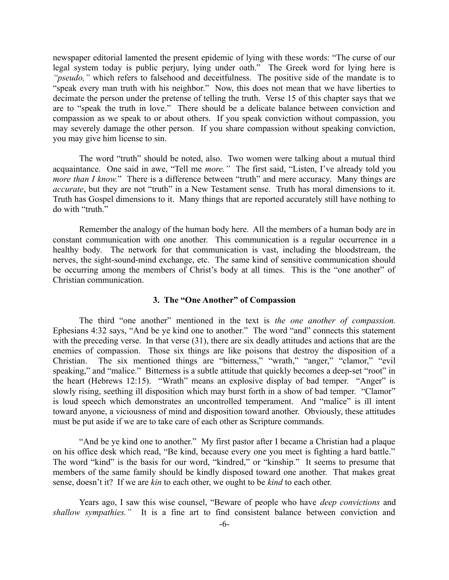newspaper editorial lamented the present epidemic of lying with these words: "The curse of our legal system today is public perjury, lying under oath." The Greek word for lying here is *"pseudo,"* which refers to falsehood and deceitfulness. The positive side of the mandate is to "speak every man truth with his neighbor." Now, this does not mean that we have liberties to decimate the person under the pretense of telling the truth. Verse 15 of this chapter says that we are to "speak the truth in love." There should be a delicate balance between conviction and compassion as we speak to or about others. If you speak conviction without compassion, you may severely damage the other person. If you share compassion without speaking conviction, you may give him license to sin.

The word "truth" should be noted, also. Two women were talking about a mutual third acquaintance. One said in awe, "Tell me *more."* The first said, "Listen, I've already told you *more than I know.*" There is a difference between "truth" and mere accuracy. Many things are *accurate*, but they are not "truth" in a New Testament sense. Truth has moral dimensions to it. Truth has Gospel dimensions to it. Many things that are reported accurately still have nothing to do with "truth."

Remember the analogy of the human body here. All the members of a human body are in constant communication with one another. This communication is a regular occurrence in a healthy body. The network for that communication is vast, including the bloodstream, the nerves, the sight-sound-mind exchange, etc. The same kind of sensitive communication should be occurring among the members of Christ's body at all times. This is the "one another" of Christian communication.

## **3. The "One Another" of Compassion**

The third "one another" mentioned in the text is *the one another of compassion.* Ephesians 4:32 says, "And be ye kind one to another." The word "and" connects this statement with the preceding verse. In that verse (31), there are six deadly attitudes and actions that are the enemies of compassion. Those six things are like poisons that destroy the disposition of a Christian. The six mentioned things are "bitterness," "wrath," "anger," "clamor," "evil speaking," and "malice." Bitterness is a subtle attitude that quickly becomes a deep-set "root" in the heart (Hebrews 12:15). "Wrath" means an explosive display of bad temper. "Anger" is slowly rising, seething ill disposition which may burst forth in a show of bad temper. "Clamor" is loud speech which demonstrates an uncontrolled temperament. And "malice" is ill intent toward anyone, a viciousness of mind and disposition toward another. Obviously, these attitudes must be put aside if we are to take care of each other as Scripture commands.

"And be ye kind one to another." My first pastor after I became a Christian had a plaque on his office desk which read, "Be kind, because every one you meet is fighting a hard battle." The word "kind" is the basis for our word, "kindred," or "kinship." It seems to presume that members of the same family should be kindly disposed toward one another. That makes great sense, doesn't it? If we are *kin* to each other, we ought to be *kind* to each other.

Years ago, I saw this wise counsel, "Beware of people who have *deep convictions* and *shallow sympathies."* It is a fine art to find consistent balance between conviction and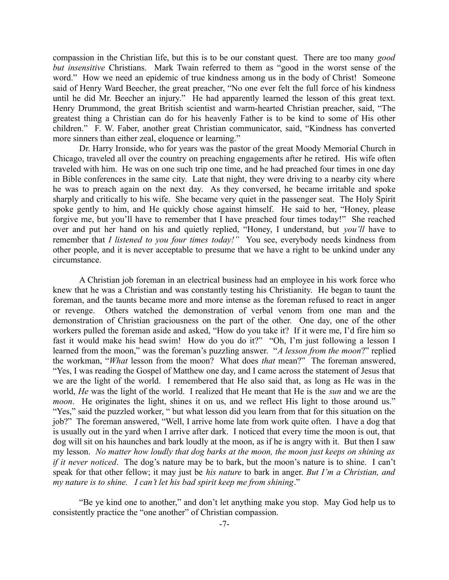compassion in the Christian life, but this is to be our constant quest. There are too many *good but insensitive* Christians. Mark Twain referred to them as "good in the worst sense of the word." How we need an epidemic of true kindness among us in the body of Christ! Someone said of Henry Ward Beecher, the great preacher, "No one ever felt the full force of his kindness until he did Mr. Beecher an injury." He had apparently learned the lesson of this great text. Henry Drummond, the great British scientist and warm-hearted Christian preacher, said, "The greatest thing a Christian can do for his heavenly Father is to be kind to some of His other children." F. W. Faber, another great Christian communicator, said, "Kindness has converted more sinners than either zeal, eloquence or learning."

Dr. Harry Ironside, who for years was the pastor of the great Moody Memorial Church in Chicago, traveled all over the country on preaching engagements after he retired. His wife often traveled with him. He was on one such trip one time, and he had preached four times in one day in Bible conferences in the same city. Late that night, they were driving to a nearby city where he was to preach again on the next day. As they conversed, he became irritable and spoke sharply and critically to his wife. She became very quiet in the passenger seat. The Holy Spirit spoke gently to him, and He quickly chose against himself. He said to her, "Honey, please forgive me, but you'll have to remember that I have preached four times today!" She reached over and put her hand on his and quietly replied, "Honey, I understand, but *you'll* have to remember that *I listened to you four times today!"* You see, everybody needs kindness from other people, and it is never acceptable to presume that we have a right to be unkind under any circumstance.

A Christian job foreman in an electrical business had an employee in his work force who knew that he was a Christian and was constantly testing his Christianity. He began to taunt the foreman, and the taunts became more and more intense as the foreman refused to react in anger or revenge. Others watched the demonstration of verbal venom from one man and the demonstration of Christian graciousness on the part of the other. One day, one of the other workers pulled the foreman aside and asked, "How do you take it? If it were me, I'd fire him so fast it would make his head swim! How do you do it?" "Oh, I'm just following a lesson I learned from the moon," was the foreman's puzzling answer. "*A lesson from the moon*?" replied the workman, "*What* lesson from the moon? What does *that* mean?" The foreman answered, "Yes, I was reading the Gospel of Matthew one day, and I came across the statement of Jesus that we are the light of the world. I remembered that He also said that, as long as He was in the world, *He* was the light of the world. I realized that He meant that He is the *sun* and we are the *moon*. He originates the light, shines it on us, and we reflect His light to those around us." "Yes," said the puzzled worker, " but what lesson did you learn from that for this situation on the job?" The foreman answered, "Well, I arrive home late from work quite often. I have a dog that is usually out in the yard when I arrive after dark. I noticed that every time the moon is out, that dog will sit on his haunches and bark loudly at the moon, as if he is angry with it. But then I saw my lesson. *No matter how loudly that dog barks at the moon, the moon just keeps on shining as if it never noticed*. The dog's nature may be to bark, but the moon's nature is to shine. I can't speak for that other fellow; it may just be *his nature* to bark in anger. *But I'm a Christian, and my nature is to shine. I can't let his bad spirit keep me from shining*."

"Be ye kind one to another," and don't let anything make you stop. May God help us to consistently practice the "one another" of Christian compassion.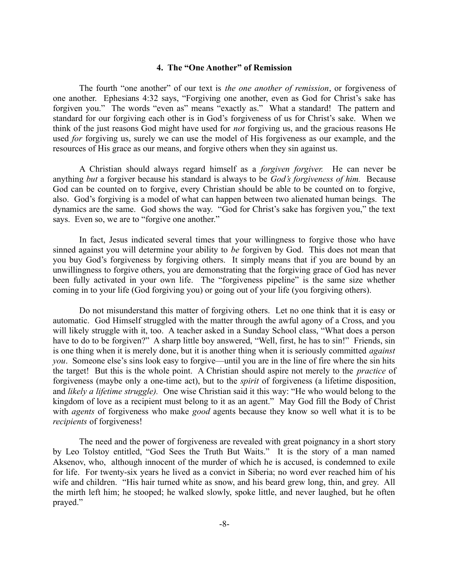# **4. The "One Another" of Remission**

The fourth "one another" of our text is *the one another of remission*, or forgiveness of one another. Ephesians 4:32 says, "Forgiving one another, even as God for Christ's sake has forgiven you." The words "even as" means "exactly as." What a standard! The pattern and standard for our forgiving each other is in God's forgiveness of us for Christ's sake. When we think of the just reasons God might have used for *not* forgiving us, and the gracious reasons He used *for* forgiving us, surely we can use the model of His forgiveness as our example, and the resources of His grace as our means, and forgive others when they sin against us.

A Christian should always regard himself as a *forgiven forgiver.* He can never be anything *but* a forgiver because his standard is always to be *God's forgiveness of him.* Because God can be counted on to forgive, every Christian should be able to be counted on to forgive, also. God's forgiving is a model of what can happen between two alienated human beings. The dynamics are the same. God shows the way. "God for Christ's sake has forgiven you," the text says. Even so, we are to "forgive one another."

In fact, Jesus indicated several times that your willingness to forgive those who have sinned against you will determine your ability to *be* forgiven by God. This does not mean that you buy God's forgiveness by forgiving others. It simply means that if you are bound by an unwillingness to forgive others, you are demonstrating that the forgiving grace of God has never been fully activated in your own life. The "forgiveness pipeline" is the same size whether coming in to your life (God forgiving you) or going out of your life (you forgiving others).

Do not misunderstand this matter of forgiving others. Let no one think that it is easy or automatic. God Himself struggled with the matter through the awful agony of a Cross, and you will likely struggle with it, too. A teacher asked in a Sunday School class, "What does a person have to do to be forgiven?" A sharp little boy answered, "Well, first, he has to sin!" Friends, sin is one thing when it is merely done, but it is another thing when it is seriously committed *against you*. Someone else's sins look easy to forgive—until you are in the line of fire where the sin hits the target! But this is the whole point. A Christian should aspire not merely to the *practice* of forgiveness (maybe only a one-time act), but to the *spirit* of forgiveness (a lifetime disposition, and *likely a lifetime struggle).* One wise Christian said it this way: "He who would belong to the kingdom of love as a recipient must belong to it as an agent." May God fill the Body of Christ with *agents* of forgiveness who make *good* agents because they know so well what it is to be *recipients* of forgiveness!

The need and the power of forgiveness are revealed with great poignancy in a short story by Leo Tolstoy entitled, "God Sees the Truth But Waits." It is the story of a man named Aksenov, who, although innocent of the murder of which he is accused, is condemned to exile for life. For twenty-six years he lived as a convict in Siberia; no word ever reached him of his wife and children. "His hair turned white as snow, and his beard grew long, thin, and grey. All the mirth left him; he stooped; he walked slowly, spoke little, and never laughed, but he often prayed."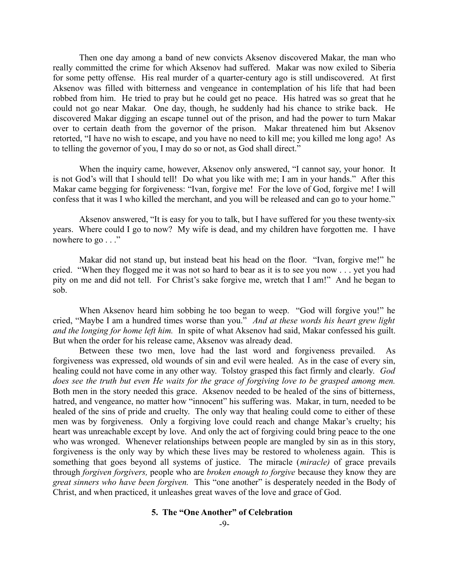Then one day among a band of new convicts Aksenov discovered Makar, the man who really committed the crime for which Aksenov had suffered. Makar was now exiled to Siberia for some petty offense. His real murder of a quarter-century ago is still undiscovered. At first Aksenov was filled with bitterness and vengeance in contemplation of his life that had been robbed from him. He tried to pray but he could get no peace. His hatred was so great that he could not go near Makar. One day, though, he suddenly had his chance to strike back. He discovered Makar digging an escape tunnel out of the prison, and had the power to turn Makar over to certain death from the governor of the prison. Makar threatened him but Aksenov retorted, "I have no wish to escape, and you have no need to kill me; you killed me long ago! As to telling the governor of you, I may do so or not, as God shall direct."

When the inquiry came, however, Aksenov only answered, "I cannot say, your honor. It is not God's will that I should tell! Do what you like with me; I am in your hands." After this Makar came begging for forgiveness: "Ivan, forgive me! For the love of God, forgive me! I will confess that it was I who killed the merchant, and you will be released and can go to your home."

Aksenov answered, "It is easy for you to talk, but I have suffered for you these twenty-six years. Where could I go to now? My wife is dead, and my children have forgotten me. I have nowhere to go . . ."

Makar did not stand up, but instead beat his head on the floor. "Ivan, forgive me!" he cried. "When they flogged me it was not so hard to bear as it is to see you now . . . yet you had pity on me and did not tell. For Christ's sake forgive me, wretch that I am!" And he began to sob.

When Aksenov heard him sobbing he too began to weep. "God will forgive you!" he cried, "Maybe I am a hundred times worse than you." *And at these words his heart grew light and the longing for home left him.* In spite of what Aksenov had said, Makar confessed his guilt. But when the order for his release came, Aksenov was already dead.

Between these two men, love had the last word and forgiveness prevailed. As forgiveness was expressed, old wounds of sin and evil were healed. As in the case of every sin, healing could not have come in any other way. Tolstoy grasped this fact firmly and clearly. *God does see the truth but even He waits for the grace of forgiving love to be grasped among men.* Both men in the story needed this grace. Aksenov needed to be healed of the sins of bitterness, hatred, and vengeance, no matter how "innocent" his suffering was. Makar, in turn, needed to be healed of the sins of pride and cruelty. The only way that healing could come to either of these men was by forgiveness. Only a forgiving love could reach and change Makar's cruelty; his heart was unreachable except by love. And only the act of forgiving could bring peace to the one who was wronged. Whenever relationships between people are mangled by sin as in this story, forgiveness is the only way by which these lives may be restored to wholeness again. This is something that goes beyond all systems of justice. The miracle (*miracle)* of grace prevails through *forgiven forgivers,* people who are *broken enough to forgive* because they know they are *great sinners who have been forgiven.* This "one another" is desperately needed in the Body of Christ, and when practiced, it unleashes great waves of the love and grace of God.

# **5. The "One Another" of Celebration**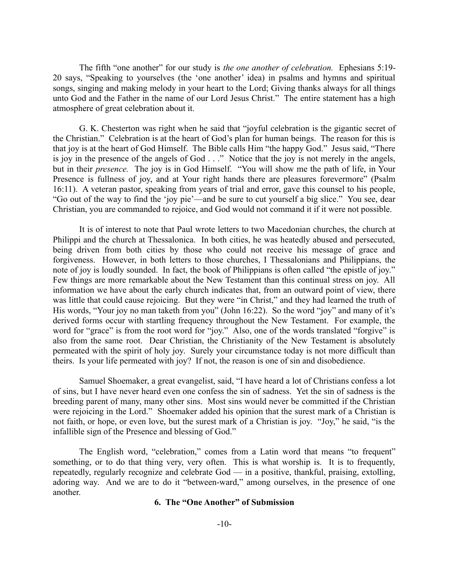The fifth "one another" for our study is *the one another of celebration.* Ephesians 5:19- 20 says, "Speaking to yourselves (the 'one another' idea) in psalms and hymns and spiritual songs, singing and making melody in your heart to the Lord; Giving thanks always for all things unto God and the Father in the name of our Lord Jesus Christ." The entire statement has a high atmosphere of great celebration about it.

G. K. Chesterton was right when he said that "joyful celebration is the gigantic secret of the Christian." Celebration is at the heart of God's plan for human beings. The reason for this is that joy is at the heart of God Himself. The Bible calls Him "the happy God." Jesus said, "There is joy in the presence of the angels of God . . ." Notice that the joy is not merely in the angels, but in their *presence.* The joy is in God Himself. "You will show me the path of life, in Your Presence is fullness of joy, and at Your right hands there are pleasures forevermore" (Psalm 16:11). A veteran pastor, speaking from years of trial and error, gave this counsel to his people, "Go out of the way to find the 'joy pie'—and be sure to cut yourself a big slice." You see, dear Christian, you are commanded to rejoice, and God would not command it if it were not possible.

It is of interest to note that Paul wrote letters to two Macedonian churches, the church at Philippi and the church at Thessalonica. In both cities, he was heatedly abused and persecuted, being driven from both cities by those who could not receive his message of grace and forgiveness. However, in both letters to those churches, I Thessalonians and Philippians, the note of joy is loudly sounded. In fact, the book of Philippians is often called "the epistle of joy." Few things are more remarkable about the New Testament than this continual stress on joy. All information we have about the early church indicates that, from an outward point of view, there was little that could cause rejoicing. But they were "in Christ," and they had learned the truth of His words, "Your joy no man taketh from you" (John 16:22). So the word "joy" and many of it's derived forms occur with startling frequency throughout the New Testament. For example, the word for "grace" is from the root word for "joy." Also, one of the words translated "forgive" is also from the same root. Dear Christian, the Christianity of the New Testament is absolutely permeated with the spirit of holy joy. Surely your circumstance today is not more difficult than theirs. Is your life permeated with joy? If not, the reason is one of sin and disobedience.

Samuel Shoemaker, a great evangelist, said, "I have heard a lot of Christians confess a lot of sins, but I have never heard even one confess the sin of sadness. Yet the sin of sadness is the breeding parent of many, many other sins. Most sins would never be committed if the Christian were rejoicing in the Lord." Shoemaker added his opinion that the surest mark of a Christian is not faith, or hope, or even love, but the surest mark of a Christian is joy. "Joy," he said, "is the infallible sign of the Presence and blessing of God."

The English word, "celebration," comes from a Latin word that means "to frequent" something, or to do that thing very, very often. This is what worship is. It is to frequently, repeatedly, regularly recognize and celebrate God — in a positive, thankful, praising, extolling, adoring way. And we are to do it "between-ward," among ourselves, in the presence of one another.

# **6. The "One Another" of Submission**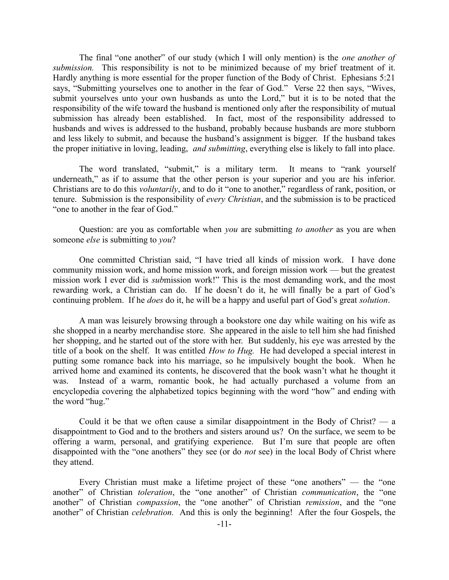The final "one another" of our study (which I will only mention) is the *one another of submission.* This responsibility is not to be minimized because of my brief treatment of it. Hardly anything is more essential for the proper function of the Body of Christ. Ephesians 5:21 says, "Submitting yourselves one to another in the fear of God." Verse 22 then says, "Wives, submit yourselves unto your own husbands as unto the Lord," but it is to be noted that the responsibility of the wife toward the husband is mentioned only after the responsibility of mutual submission has already been established. In fact, most of the responsibility addressed to husbands and wives is addressed to the husband, probably because husbands are more stubborn and less likely to submit, and because the husband's assignment is bigger. If the husband takes the proper initiative in loving, leading, *and submitting*, everything else is likely to fall into place.

The word translated, "submit," is a military term. It means to "rank yourself underneath," as if to assume that the other person is your superior and you are his inferior. Christians are to do this *voluntarily*, and to do it "one to another," regardless of rank, position, or tenure. Submission is the responsibility of *every Christian*, and the submission is to be practiced "one to another in the fear of God."

Question: are you as comfortable when *you* are submitting *to another* as you are when someone *else* is submitting to *you*?

One committed Christian said, "I have tried all kinds of mission work. I have done community mission work, and home mission work, and foreign mission work — but the greatest mission work I ever did is *sub*mission work!" This is the most demanding work, and the most rewarding work, a Christian can do. If he doesn't do it, he will finally be a part of God's continuing problem. If he *does* do it, he will be a happy and useful part of God's great *solution*.

A man was leisurely browsing through a bookstore one day while waiting on his wife as she shopped in a nearby merchandise store. She appeared in the aisle to tell him she had finished her shopping, and he started out of the store with her. But suddenly, his eye was arrested by the title of a book on the shelf. It was entitled *How to Hug.* He had developed a special interest in putting some romance back into his marriage, so he impulsively bought the book. When he arrived home and examined its contents, he discovered that the book wasn't what he thought it was. Instead of a warm, romantic book, he had actually purchased a volume from an encyclopedia covering the alphabetized topics beginning with the word "how" and ending with the word "hug."

Could it be that we often cause a similar disappointment in the Body of Christ?  $-$  a disappointment to God and to the brothers and sisters around us? On the surface, we seem to be offering a warm, personal, and gratifying experience. But I'm sure that people are often disappointed with the "one anothers" they see (or do *not* see) in the local Body of Christ where they attend.

Every Christian must make a lifetime project of these "one anothers" — the "one another" of Christian *toleration*, the "one another" of Christian *communication*, the "one another" of Christian *compassion*, the "one another" of Christian *remission*, and the "one another" of Christian *celebration.* And this is only the beginning! After the four Gospels, the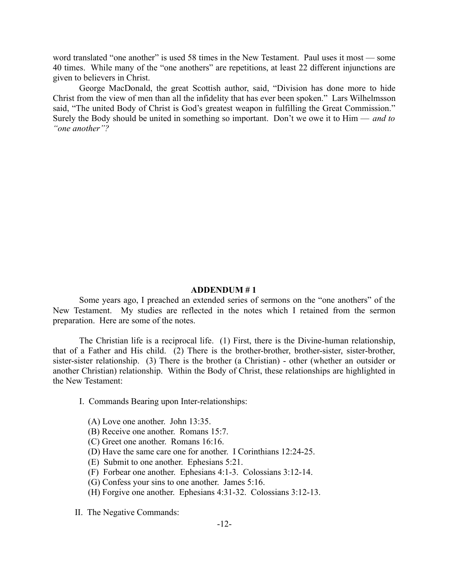word translated "one another" is used 58 times in the New Testament. Paul uses it most — some 40 times. While many of the "one anothers" are repetitions, at least 22 different injunctions are given to believers in Christ.

George MacDonald, the great Scottish author, said, "Division has done more to hide Christ from the view of men than all the infidelity that has ever been spoken." Lars Wilhelmsson said, "The united Body of Christ is God's greatest weapon in fulfilling the Great Commission." Surely the Body should be united in something so important. Don't we owe it to Him — *and to "one another"?*

### **ADDENDUM # 1**

Some years ago, I preached an extended series of sermons on the "one anothers" of the New Testament. My studies are reflected in the notes which I retained from the sermon preparation. Here are some of the notes.

The Christian life is a reciprocal life. (1) First, there is the Divine-human relationship, that of a Father and His child. (2) There is the brother-brother, brother-sister, sister-brother, sister-sister relationship. (3) There is the brother (a Christian) - other (whether an outsider or another Christian) relationship. Within the Body of Christ, these relationships are highlighted in the New Testament:

- I. Commands Bearing upon Inter-relationships:
	- (A) Love one another. John 13:35.
	- (B) Receive one another. Romans 15:7.
	- (C) Greet one another. Romans 16:16.
	- (D) Have the same care one for another. I Corinthians 12:24-25.
	- (E) Submit to one another. Ephesians 5:21.
	- (F) Forbear one another. Ephesians 4:1-3. Colossians 3:12-14.
	- (G) Confess your sins to one another. James 5:16.
	- (H) Forgive one another. Ephesians 4:31-32. Colossians 3:12-13.
- II. The Negative Commands: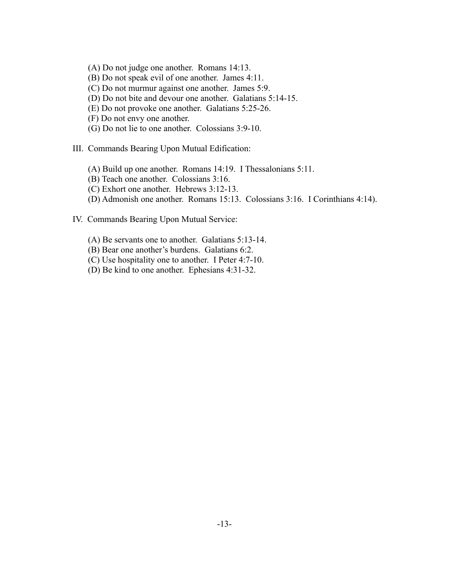- (A) Do not judge one another. Romans 14:13.
- (B) Do not speak evil of one another. James 4:11.
- (C) Do not murmur against one another. James 5:9.
- (D) Do not bite and devour one another. Galatians 5:14-15.
- (E) Do not provoke one another. Galatians 5:25-26.
- (F) Do not envy one another.
- (G) Do not lie to one another. Colossians 3:9-10.
- III. Commands Bearing Upon Mutual Edification:
	- (A) Build up one another. Romans 14:19. I Thessalonians 5:11.
	- (B) Teach one another. Colossians 3:16.
	- (C) Exhort one another. Hebrews 3:12-13.
	- (D) Admonish one another. Romans 15:13. Colossians 3:16. I Corinthians 4:14).
- IV. Commands Bearing Upon Mutual Service:
	- (A) Be servants one to another. Galatians 5:13-14.
	- (B) Bear one another's burdens. Galatians 6:2.
	- (C) Use hospitality one to another. I Peter 4:7-10.
	- (D) Be kind to one another. Ephesians 4:31-32.